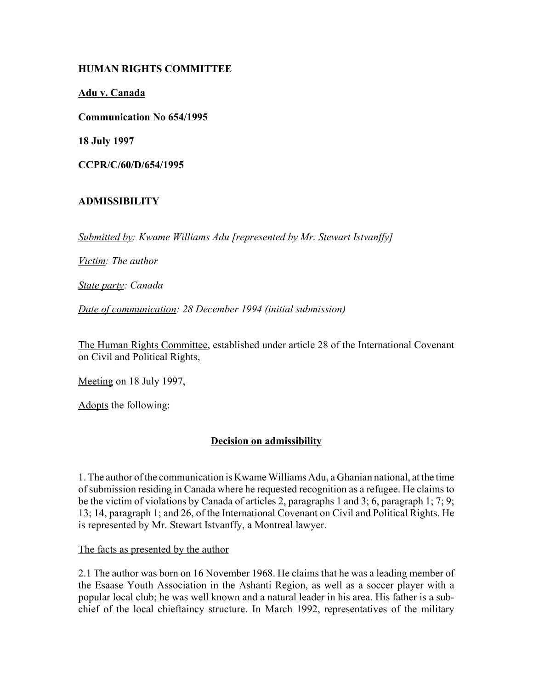# **HUMAN RIGHTS COMMITTEE**

**Adu v. Canada**

**Communication No 654/1995**

**18 July 1997**

**CCPR/C/60/D/654/1995**

# **ADMISSIBILITY**

*Submitted by: Kwame Williams Adu [represented by Mr. Stewart Istvanffy]* 

*Victim: The author* 

*State party: Canada* 

*Date of communication: 28 December 1994 (initial submission)* 

The Human Rights Committee, established under article 28 of the International Covenant on Civil and Political Rights,

Meeting on 18 July 1997,

Adopts the following:

# **Decision on admissibility**

1. The author of the communication is Kwame Williams Adu, a Ghanian national, at the time of submission residing in Canada where he requested recognition as a refugee. He claims to be the victim of violations by Canada of articles 2, paragraphs 1 and 3; 6, paragraph 1; 7; 9; 13; 14, paragraph 1; and 26, of the International Covenant on Civil and Political Rights. He is represented by Mr. Stewart Istvanffy, a Montreal lawyer.

The facts as presented by the author

2.1 The author was born on 16 November 1968. He claims that he was a leading member of the Esaase Youth Association in the Ashanti Region, as well as a soccer player with a popular local club; he was well known and a natural leader in his area. His father is a subchief of the local chieftaincy structure. In March 1992, representatives of the military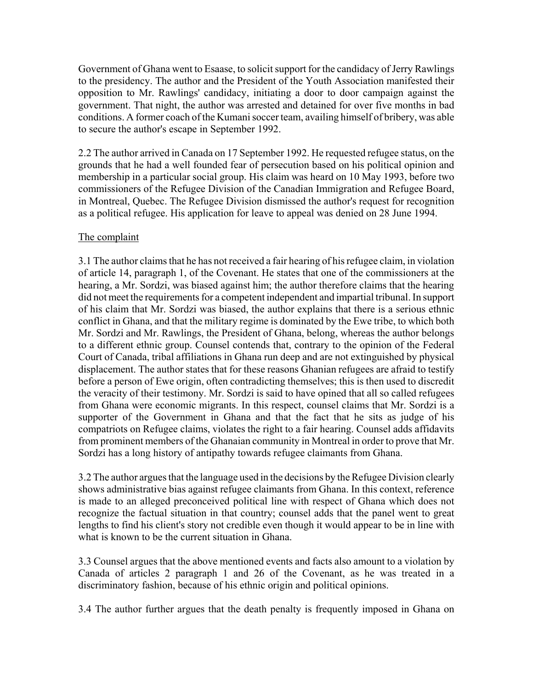Government of Ghana went to Esaase, to solicit support for the candidacy of Jerry Rawlings to the presidency. The author and the President of the Youth Association manifested their opposition to Mr. Rawlings' candidacy, initiating a door to door campaign against the government. That night, the author was arrested and detained for over five months in bad conditions. A former coach of the Kumani soccer team, availing himself of bribery, was able to secure the author's escape in September 1992.

2.2 The author arrived in Canada on 17 September 1992. He requested refugee status, on the grounds that he had a well founded fear of persecution based on his political opinion and membership in a particular social group. His claim was heard on 10 May 1993, before two commissioners of the Refugee Division of the Canadian Immigration and Refugee Board, in Montreal, Quebec. The Refugee Division dismissed the author's request for recognition as a political refugee. His application for leave to appeal was denied on 28 June 1994.

### The complaint

3.1 The author claims that he has not received a fair hearing of his refugee claim, in violation of article 14, paragraph 1, of the Covenant. He states that one of the commissioners at the hearing, a Mr. Sordzi, was biased against him; the author therefore claims that the hearing did not meet the requirements for a competent independent and impartial tribunal. In support of his claim that Mr. Sordzi was biased, the author explains that there is a serious ethnic conflict in Ghana, and that the military regime is dominated by the Ewe tribe, to which both Mr. Sordzi and Mr. Rawlings, the President of Ghana, belong, whereas the author belongs to a different ethnic group. Counsel contends that, contrary to the opinion of the Federal Court of Canada, tribal affiliations in Ghana run deep and are not extinguished by physical displacement. The author states that for these reasons Ghanian refugees are afraid to testify before a person of Ewe origin, often contradicting themselves; this is then used to discredit the veracity of their testimony. Mr. Sordzi is said to have opined that all so called refugees from Ghana were economic migrants. In this respect, counsel claims that Mr. Sordzi is a supporter of the Government in Ghana and that the fact that he sits as judge of his compatriots on Refugee claims, violates the right to a fair hearing. Counsel adds affidavits from prominent members of the Ghanaian community in Montreal in order to prove that Mr. Sordzi has a long history of antipathy towards refugee claimants from Ghana.

3.2 The author argues that the language used in the decisions by the Refugee Division clearly shows administrative bias against refugee claimants from Ghana. In this context, reference is made to an alleged preconceived political line with respect of Ghana which does not recognize the factual situation in that country; counsel adds that the panel went to great lengths to find his client's story not credible even though it would appear to be in line with what is known to be the current situation in Ghana.

3.3 Counsel argues that the above mentioned events and facts also amount to a violation by Canada of articles 2 paragraph 1 and 26 of the Covenant, as he was treated in a discriminatory fashion, because of his ethnic origin and political opinions.

3.4 The author further argues that the death penalty is frequently imposed in Ghana on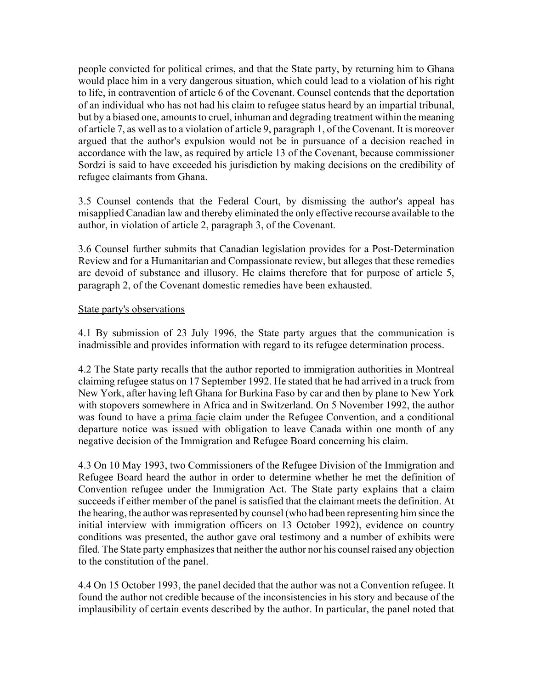people convicted for political crimes, and that the State party, by returning him to Ghana would place him in a very dangerous situation, which could lead to a violation of his right to life, in contravention of article 6 of the Covenant. Counsel contends that the deportation of an individual who has not had his claim to refugee status heard by an impartial tribunal, but by a biased one, amounts to cruel, inhuman and degrading treatment within the meaning of article 7, as well as to a violation of article 9, paragraph 1, of the Covenant. It is moreover argued that the author's expulsion would not be in pursuance of a decision reached in accordance with the law, as required by article 13 of the Covenant, because commissioner Sordzi is said to have exceeded his jurisdiction by making decisions on the credibility of refugee claimants from Ghana.

3.5 Counsel contends that the Federal Court, by dismissing the author's appeal has misapplied Canadian law and thereby eliminated the only effective recourse available to the author, in violation of article 2, paragraph 3, of the Covenant.

3.6 Counsel further submits that Canadian legislation provides for a Post-Determination Review and for a Humanitarian and Compassionate review, but alleges that these remedies are devoid of substance and illusory. He claims therefore that for purpose of article 5, paragraph 2, of the Covenant domestic remedies have been exhausted.

### State party's observations

4.1 By submission of 23 July 1996, the State party argues that the communication is inadmissible and provides information with regard to its refugee determination process.

4.2 The State party recalls that the author reported to immigration authorities in Montreal claiming refugee status on 17 September 1992. He stated that he had arrived in a truck from New York, after having left Ghana for Burkina Faso by car and then by plane to New York with stopovers somewhere in Africa and in Switzerland. On 5 November 1992, the author was found to have a prima facie claim under the Refugee Convention, and a conditional departure notice was issued with obligation to leave Canada within one month of any negative decision of the Immigration and Refugee Board concerning his claim.

4.3 On 10 May 1993, two Commissioners of the Refugee Division of the Immigration and Refugee Board heard the author in order to determine whether he met the definition of Convention refugee under the Immigration Act. The State party explains that a claim succeeds if either member of the panel is satisfied that the claimant meets the definition. At the hearing, the author was represented by counsel (who had been representing him since the initial interview with immigration officers on 13 October 1992), evidence on country conditions was presented, the author gave oral testimony and a number of exhibits were filed. The State party emphasizes that neither the author nor his counsel raised any objection to the constitution of the panel.

4.4 On 15 October 1993, the panel decided that the author was not a Convention refugee. It found the author not credible because of the inconsistencies in his story and because of the implausibility of certain events described by the author. In particular, the panel noted that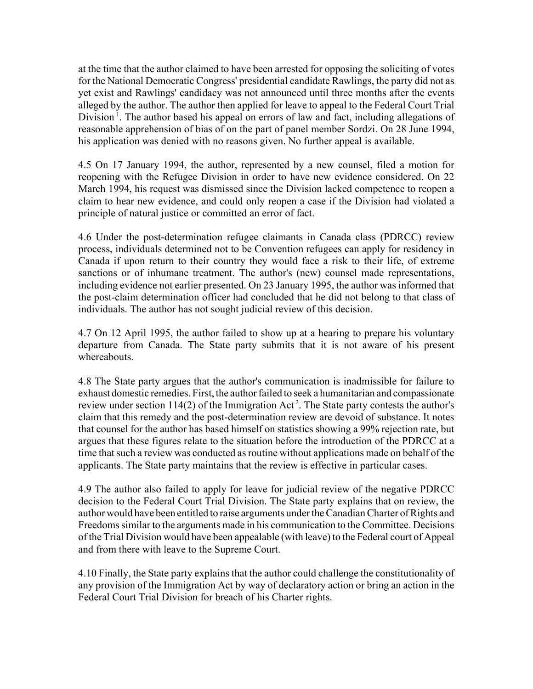at the time that the author claimed to have been arrested for opposing the soliciting of votes for the National Democratic Congress' presidential candidate Rawlings, the party did not as yet exist and Rawlings' candidacy was not announced until three months after the events alleged by the author. The author then applied for leave to appeal to the Federal Court Trial Division<sup>1</sup>. The author based his appeal on errors of law and fact, including allegations of reasonable apprehension of bias of on the part of panel member Sordzi. On 28 June 1994, his application was denied with no reasons given. No further appeal is available.

4.5 On 17 January 1994, the author, represented by a new counsel, filed a motion for reopening with the Refugee Division in order to have new evidence considered. On 22 March 1994, his request was dismissed since the Division lacked competence to reopen a claim to hear new evidence, and could only reopen a case if the Division had violated a principle of natural justice or committed an error of fact.

4.6 Under the post-determination refugee claimants in Canada class (PDRCC) review process, individuals determined not to be Convention refugees can apply for residency in Canada if upon return to their country they would face a risk to their life, of extreme sanctions or of inhumane treatment. The author's (new) counsel made representations, including evidence not earlier presented. On 23 January 1995, the author was informed that the post-claim determination officer had concluded that he did not belong to that class of individuals. The author has not sought judicial review of this decision.

4.7 On 12 April 1995, the author failed to show up at a hearing to prepare his voluntary departure from Canada. The State party submits that it is not aware of his present whereabouts.

4.8 The State party argues that the author's communication is inadmissible for failure to exhaust domestic remedies. First, the author failed to seek a humanitarian and compassionate review under section 114(2) of the Immigration Act<sup>2</sup>. The State party contests the author's claim that this remedy and the post-determination review are devoid of substance. It notes that counsel for the author has based himself on statistics showing a 99% rejection rate, but argues that these figures relate to the situation before the introduction of the PDRCC at a time that such a review was conducted as routine without applications made on behalf of the applicants. The State party maintains that the review is effective in particular cases.

4.9 The author also failed to apply for leave for judicial review of the negative PDRCC decision to the Federal Court Trial Division. The State party explains that on review, the author would have been entitled to raise arguments under the Canadian Charter of Rights and Freedoms similar to the arguments made in his communication to the Committee. Decisions of the Trial Division would have been appealable (with leave) to the Federal court of Appeal and from there with leave to the Supreme Court.

4.10 Finally, the State party explains that the author could challenge the constitutionality of any provision of the Immigration Act by way of declaratory action or bring an action in the Federal Court Trial Division for breach of his Charter rights.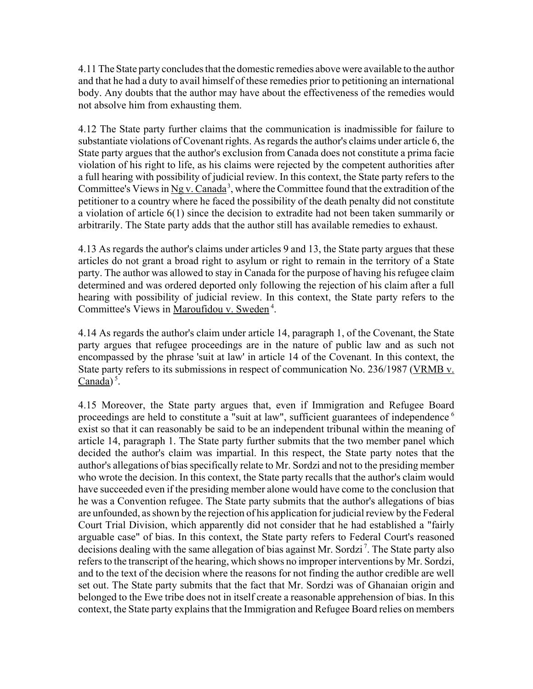4.11 The State party concludes that the domestic remedies above were available to the author and that he had a duty to avail himself of these remedies prior to petitioning an international body. Any doubts that the author may have about the effectiveness of the remedies would not absolve him from exhausting them.

4.12 The State party further claims that the communication is inadmissible for failure to substantiate violations of Covenant rights. As regards the author's claims under article 6, the State party argues that the author's exclusion from Canada does not constitute a prima facie violation of his right to life, as his claims were rejected by the competent authorities after a full hearing with possibility of judicial review. In this context, the State party refers to the Committee's Views in Ng v. Canada<sup>3</sup>, where the Committee found that the extradition of the petitioner to a country where he faced the possibility of the death penalty did not constitute a violation of article 6(1) since the decision to extradite had not been taken summarily or arbitrarily. The State party adds that the author still has available remedies to exhaust.

4.13 As regards the author's claims under articles 9 and 13, the State party argues that these articles do not grant a broad right to asylum or right to remain in the territory of a State party. The author was allowed to stay in Canada for the purpose of having his refugee claim determined and was ordered deported only following the rejection of his claim after a full hearing with possibility of judicial review. In this context, the State party refers to the Committee's Views in Maroufidou v. Sweden 4.

4.14 As regards the author's claim under article 14, paragraph 1, of the Covenant, the State party argues that refugee proceedings are in the nature of public law and as such not encompassed by the phrase 'suit at law' in article 14 of the Covenant. In this context, the State party refers to its submissions in respect of communication No. 236/1987 (VRMB v.  $Canada)^5$ .

4.15 Moreover, the State party argues that, even if Immigration and Refugee Board proceedings are held to constitute a "suit at law", sufficient guarantees of independence<sup>6</sup> exist so that it can reasonably be said to be an independent tribunal within the meaning of article 14, paragraph 1. The State party further submits that the two member panel which decided the author's claim was impartial. In this respect, the State party notes that the author's allegations of bias specifically relate to Mr. Sordzi and not to the presiding member who wrote the decision. In this context, the State party recalls that the author's claim would have succeeded even if the presiding member alone would have come to the conclusion that he was a Convention refugee. The State party submits that the author's allegations of bias are unfounded, as shown by the rejection of his application for judicial review by the Federal Court Trial Division, which apparently did not consider that he had established a "fairly arguable case" of bias. In this context, the State party refers to Federal Court's reasoned decisions dealing with the same allegation of bias against Mr. Sordzi<sup>7</sup>. The State party also refers to the transcript of the hearing, which shows no improper interventions by Mr. Sordzi, and to the text of the decision where the reasons for not finding the author credible are well set out. The State party submits that the fact that Mr. Sordzi was of Ghanaian origin and belonged to the Ewe tribe does not in itself create a reasonable apprehension of bias. In this context, the State party explains that the Immigration and Refugee Board relies on members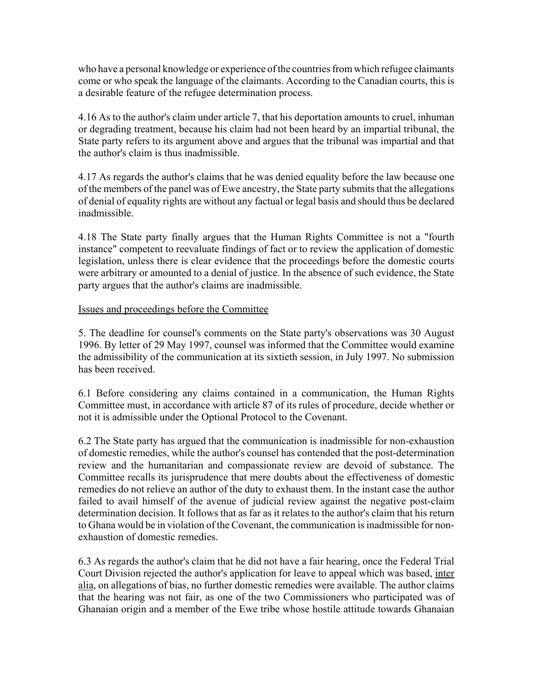who have a personal knowledge or experience of the countries from which refugee claimants come or who speak the language of the claimants. According to the Canadian courts, this is a desirable feature of the refugee determination process.

4.16 As to the author's claim under article 7, that his deportation amounts to cruel, inhuman or degrading treatment, because his claim had not been heard by an impartial tribunal, the State party refers to its argument above and argues that the tribunal was impartial and that the author's claim is thus inadmissible.

4.17 As regards the author's claims that he was denied equality before the law because one of the members of the panel was of Ewe ancestry, the State party submits that the allegations of denial of equality rights are without any factual or legal basis and should thus be declared inadmissible.

4.18 The State party finally argues that the Human Rights Committee is not a "fourth instance" competent to reevaluate findings of fact or to review the application of domestic legislation, unless there is clear evidence that the proceedings before the domestic courts were arbitrary or amounted to a denial of justice. In the absence of such evidence, the State party argues that the author's claims are inadmissible.

### Issues and proceedings before the Committee

5. The deadline for counsel's comments on the State party's observations was 30 August 1996. By letter of 29 May 1997, counsel was informed that the Committee would examine the admissibility of the communication at its sixtieth session, in July 1997. No submission has been received.

6.1 Before considering any claims contained in a communication, the Human Rights Committee must, in accordance with article 87 of its rules of procedure, decide whether or not it is admissible under the Optional Protocol to the Covenant.

6.2 The State party has argued that the communication is inadmissible for non-exhaustion of domestic remedies, while the author's counsel has contended that the post-determination review and the humanitarian and compassionate review are devoid of substance. The Committee recalls its jurisprudence that mere doubts about the effectiveness of domestic remedies do not relieve an author of the duty to exhaust them. In the instant case the author failed to avail himself of the avenue of judicial review against the negative post-claim determination decision. It follows that as far as it relates to the author's claim that his return to Ghana would be in violation of the Covenant, the communication is inadmissible for nonexhaustion of domestic remedies.

6.3 As regards the author's claim that he did not have a fair hearing, once the Federal Trial Court Division rejected the author's application for leave to appeal which was based, inter alia, on allegations of bias, no further domestic remedies were available. The author claims that the hearing was not fair, as one of the two Commissioners who participated was of Ghanaian origin and a member of the Ewe tribe whose hostile attitude towards Ghanaian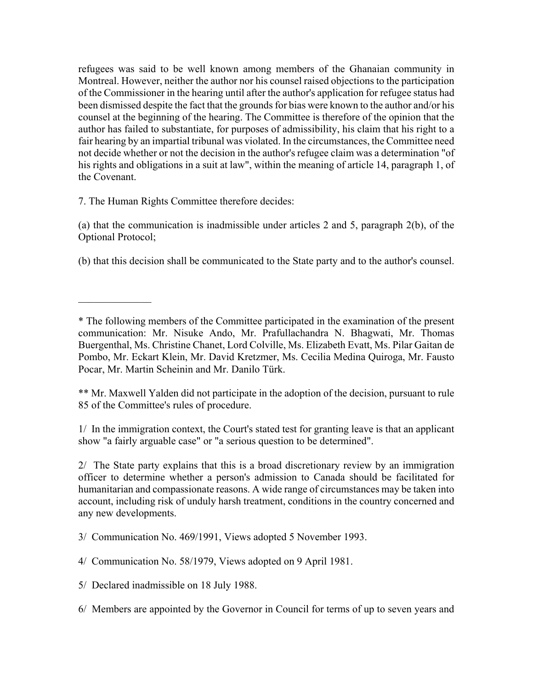refugees was said to be well known among members of the Ghanaian community in Montreal. However, neither the author nor his counsel raised objections to the participation of the Commissioner in the hearing until after the author's application for refugee status had been dismissed despite the fact that the grounds for bias were known to the author and/or his counsel at the beginning of the hearing. The Committee is therefore of the opinion that the author has failed to substantiate, for purposes of admissibility, his claim that his right to a fair hearing by an impartial tribunal was violated. In the circumstances, the Committee need not decide whether or not the decision in the author's refugee claim was a determination "of his rights and obligations in a suit at law", within the meaning of article 14, paragraph 1, of the Covenant.

7. The Human Rights Committee therefore decides:

 $\frac{1}{2}$ 

(a) that the communication is inadmissible under articles 2 and 5, paragraph 2(b), of the Optional Protocol;

(b) that this decision shall be communicated to the State party and to the author's counsel.

\*\* Mr. Maxwell Yalden did not participate in the adoption of the decision, pursuant to rule 85 of the Committee's rules of procedure.

1/ In the immigration context, the Court's stated test for granting leave is that an applicant show "a fairly arguable case" or "a serious question to be determined".

2/ The State party explains that this is a broad discretionary review by an immigration officer to determine whether a person's admission to Canada should be facilitated for humanitarian and compassionate reasons. A wide range of circumstances may be taken into account, including risk of unduly harsh treatment, conditions in the country concerned and any new developments.

3/ Communication No. 469/1991, Views adopted 5 November 1993.

4/ Communication No. 58/1979, Views adopted on 9 April 1981.

5/ Declared inadmissible on 18 July 1988.

<sup>\*</sup> The following members of the Committee participated in the examination of the present communication: Mr. Nisuke Ando, Mr. Prafullachandra N. Bhagwati, Mr. Thomas Buergenthal, Ms. Christine Chanet, Lord Colville, Ms. Elizabeth Evatt, Ms. Pilar Gaitan de Pombo, Mr. Eckart Klein, Mr. David Kretzmer, Ms. Cecilia Medina Quiroga, Mr. Fausto Pocar, Mr. Martin Scheinin and Mr. Danilo Türk.

<sup>6/</sup> Members are appointed by the Governor in Council for terms of up to seven years and